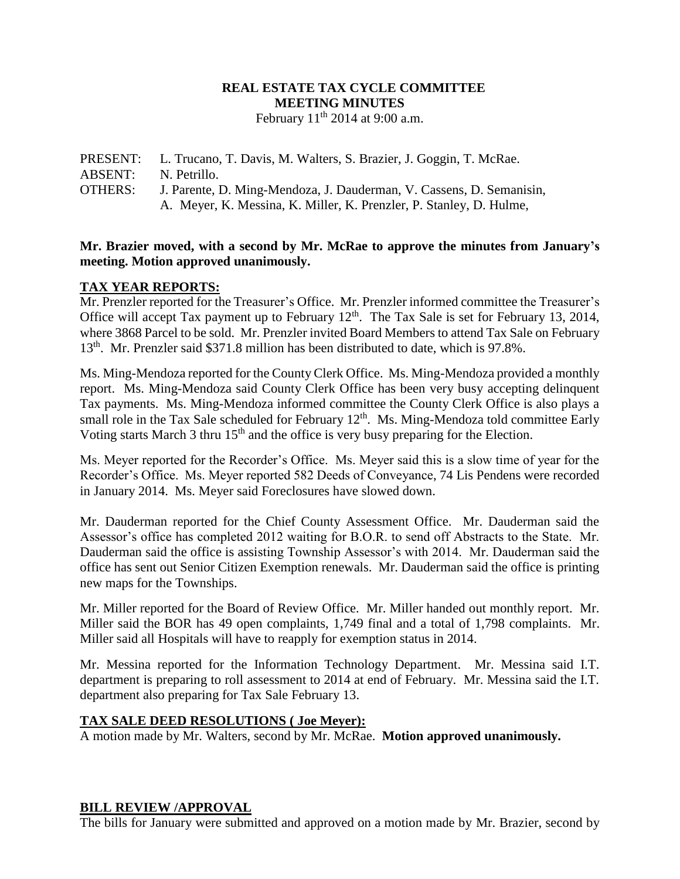## **REAL ESTATE TAX CYCLE COMMITTEE MEETING MINUTES** February  $11<sup>th</sup>$  2014 at 9:00 a.m.

PRESENT: L. Trucano, T. Davis, M. Walters, S. Brazier, J. Goggin, T. McRae. ABSENT: N. Petrillo. OTHERS: J. Parente, D. Ming-Mendoza, J. Dauderman, V. Cassens, D. Semanisin, A. Meyer, K. Messina, K. Miller, K. Prenzler, P. Stanley, D. Hulme,

#### **Mr. Brazier moved, with a second by Mr. McRae to approve the minutes from January's meeting. Motion approved unanimously.**

### **TAX YEAR REPORTS:**

Mr. Prenzler reported for the Treasurer's Office. Mr. Prenzler informed committee the Treasurer's Office will accept Tax payment up to February  $12<sup>th</sup>$ . The Tax Sale is set for February 13, 2014, where 3868 Parcel to be sold. Mr. Prenzler invited Board Members to attend Tax Sale on February 13<sup>th</sup>. Mr. Prenzler said \$371.8 million has been distributed to date, which is 97.8%.

Ms. Ming-Mendoza reported for the County Clerk Office. Ms. Ming-Mendoza provided a monthly report. Ms. Ming-Mendoza said County Clerk Office has been very busy accepting delinquent Tax payments. Ms. Ming-Mendoza informed committee the County Clerk Office is also plays a small role in the Tax Sale scheduled for February 12<sup>th</sup>. Ms. Ming-Mendoza told committee Early Voting starts March 3 thru 15<sup>th</sup> and the office is very busy preparing for the Election.

Ms. Meyer reported for the Recorder's Office. Ms. Meyer said this is a slow time of year for the Recorder's Office. Ms. Meyer reported 582 Deeds of Conveyance, 74 Lis Pendens were recorded in January 2014. Ms. Meyer said Foreclosures have slowed down.

Mr. Dauderman reported for the Chief County Assessment Office. Mr. Dauderman said the Assessor's office has completed 2012 waiting for B.O.R. to send off Abstracts to the State. Mr. Dauderman said the office is assisting Township Assessor's with 2014. Mr. Dauderman said the office has sent out Senior Citizen Exemption renewals. Mr. Dauderman said the office is printing new maps for the Townships.

Mr. Miller reported for the Board of Review Office. Mr. Miller handed out monthly report. Mr. Miller said the BOR has 49 open complaints, 1,749 final and a total of 1,798 complaints. Mr. Miller said all Hospitals will have to reapply for exemption status in 2014.

Mr. Messina reported for the Information Technology Department. Mr. Messina said I.T. department is preparing to roll assessment to 2014 at end of February. Mr. Messina said the I.T. department also preparing for Tax Sale February 13.

#### **TAX SALE DEED RESOLUTIONS ( Joe Meyer):**

A motion made by Mr. Walters, second by Mr. McRae. **Motion approved unanimously.**

#### **BILL REVIEW /APPROVAL**

The bills for January were submitted and approved on a motion made by Mr. Brazier, second by